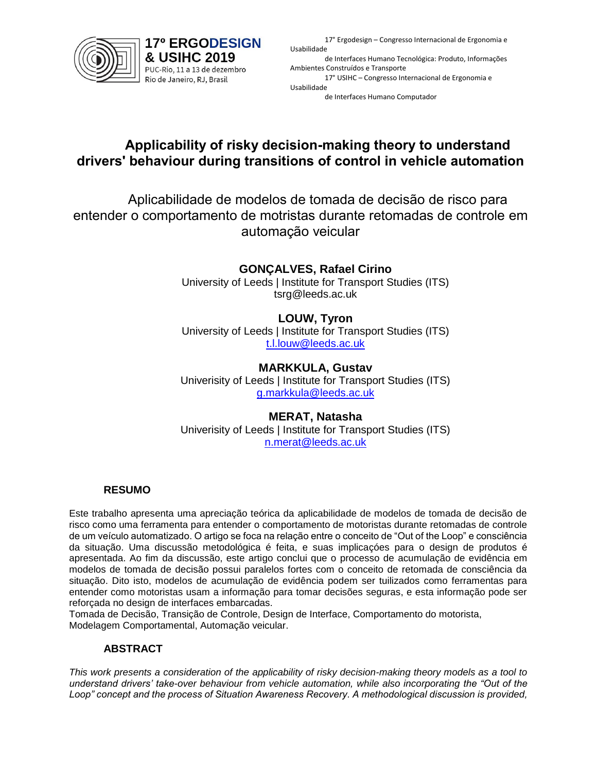

**17° ERGODESIGN** & USIHC 2019 PUC-Rio, 11 a 13 de dezembro Rio de Janeiro, RJ, Brasil

17° Ergodesign – Congresso Internacional de Ergonomia e Usabilidade

de Interfaces Humano Tecnológica: Produto, Informações Ambientes Construídos e Transporte 17° USIHC – Congresso Internacional de Ergonomia e Usabilidade

de Interfaces Humano Computador

# **Applicability of risky decision-making theory to understand drivers' behaviour during transitions of control in vehicle automation**

Aplicabilidade de modelos de tomada de decisão de risco para entender o comportamento de motristas durante retomadas de controle em automação veicular

## **GONÇALVES, Rafael Cirino**

University of Leeds | Institute for Transport Studies (ITS) tsrg@leeds.ac.uk

#### **LOUW, Tyron**

University of Leeds | Institute for Transport Studies (ITS) [t.l.louw@leeds.ac.uk](mailto:t.l.louw@leeds.ac.uk)

#### **MARKKULA, Gustav**

Univerisity of Leeds | Institute for Transport Studies (ITS) [g.markkula@leeds.ac.uk](mailto:g.markkula@leeds.ac.uk)

#### **MERAT, Natasha**

Univerisity of Leeds | Institute for Transport Studies (ITS) [n.merat@leeds.ac.uk](mailto:n.merat@leeds.ac.uk)

#### **RESUMO**

Este trabalho apresenta uma apreciação teórica da aplicabilidade de modelos de tomada de decisão de risco como uma ferramenta para entender o comportamento de motoristas durante retomadas de controle de um veículo automatizado. O artigo se foca na relação entre o conceito de "Out of the Loop" e consciência da situação. Uma discussão metodológica é feita, e suas implicaçóes para o design de produtos é apresentada. Ao fim da discussão, este artigo conclui que o processo de acumulação de evidência em modelos de tomada de decisão possui paralelos fortes com o conceito de retomada de consciência da situação. Dito isto, modelos de acumulação de evidência podem ser tuilizados como ferramentas para entender como motoristas usam a informação para tomar decisões seguras, e esta informação pode ser reforçada no design de interfaces embarcadas.

Tomada de Decisão, Transição de Controle, Design de Interface, Comportamento do motorista, Modelagem Comportamental, Automação veicular.

#### **ABSTRACT**

*This work presents a consideration of the applicability of risky decision-making theory models as a tool to understand drivers' take-over behaviour from vehicle automation, while also incorporating the "Out of the Loop" concept and the process of Situation Awareness Recovery. A methodological discussion is provided,*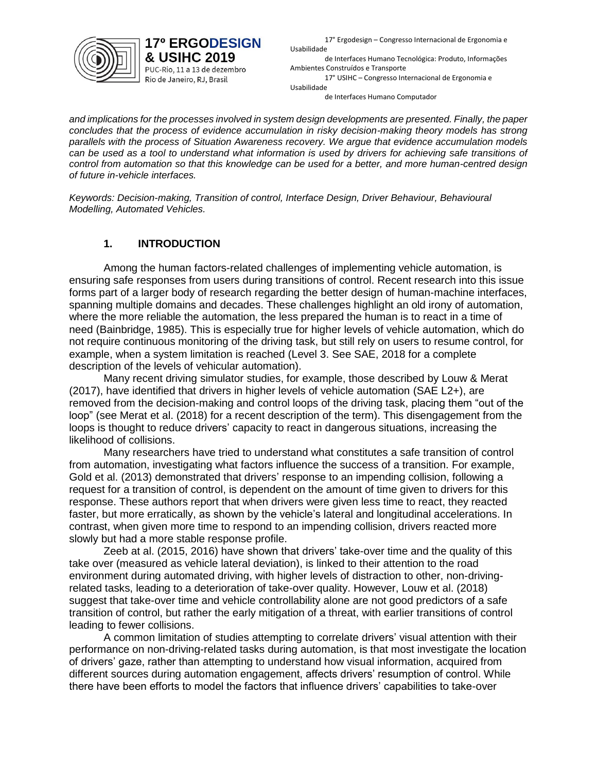

PUC-Rio, 11 a 13 de dezembro Rio de Janeiro, RJ, Brasil

17° Ergodesign – Congresso Internacional de Ergonomia e Usabilidade de Interfaces Humano Tecnológica: Produto, Informações Ambientes Construídos e Transporte

17° USIHC – Congresso Internacional de Ergonomia e Usabilidade de Interfaces Humano Computador

*and implications for the processes involved in system design developments are presented. Finally, the paper concludes that the process of evidence accumulation in risky decision-making theory models has strong parallels with the process of Situation Awareness recovery. We argue that evidence accumulation models can be used as a tool to understand what information is used by drivers for achieving safe transitions of control from automation so that this knowledge can be used for a better, and more human-centred design of future in-vehicle interfaces.*

*Keywords: Decision-making, Transition of control, Interface Design, Driver Behaviour, Behavioural Modelling, Automated Vehicles.*

### **1. INTRODUCTION**

Among the human factors-related challenges of implementing vehicle automation, is ensuring safe responses from users during transitions of control. Recent research into this issue forms part of a larger body of research regarding the better design of human-machine interfaces, spanning multiple domains and decades. These challenges highlight an old irony of automation, where the more reliable the automation, the less prepared the human is to react in a time of need (Bainbridge, 1985). This is especially true for higher levels of vehicle automation, which do not require continuous monitoring of the driving task, but still rely on users to resume control, for example, when a system limitation is reached (Level 3. See SAE, 2018 for a complete description of the levels of vehicular automation).

Many recent driving simulator studies, for example, those described by Louw & Merat (2017), have identified that drivers in higher levels of vehicle automation (SAE L2+), are removed from the decision-making and control loops of the driving task, placing them "out of the loop" (see Merat et al. (2018) for a recent description of the term). This disengagement from the loops is thought to reduce drivers' capacity to react in dangerous situations, increasing the likelihood of collisions.

Many researchers have tried to understand what constitutes a safe transition of control from automation, investigating what factors influence the success of a transition. For example, Gold et al. (2013) demonstrated that drivers' response to an impending collision, following a request for a transition of control, is dependent on the amount of time given to drivers for this response. These authors report that when drivers were given less time to react, they reacted faster, but more erratically, as shown by the vehicle's lateral and longitudinal accelerations. In contrast, when given more time to respond to an impending collision, drivers reacted more slowly but had a more stable response profile.

Zeeb at al. (2015, 2016) have shown that drivers' take-over time and the quality of this take over (measured as vehicle lateral deviation), is linked to their attention to the road environment during automated driving, with higher levels of distraction to other, non-drivingrelated tasks, leading to a deterioration of take-over quality. However, Louw et al. (2018) suggest that take-over time and vehicle controllability alone are not good predictors of a safe transition of control, but rather the early mitigation of a threat, with earlier transitions of control leading to fewer collisions.

A common limitation of studies attempting to correlate drivers' visual attention with their performance on non-driving-related tasks during automation, is that most investigate the location of drivers' gaze, rather than attempting to understand how visual information, acquired from different sources during automation engagement, affects drivers' resumption of control. While there have been efforts to model the factors that influence drivers' capabilities to take-over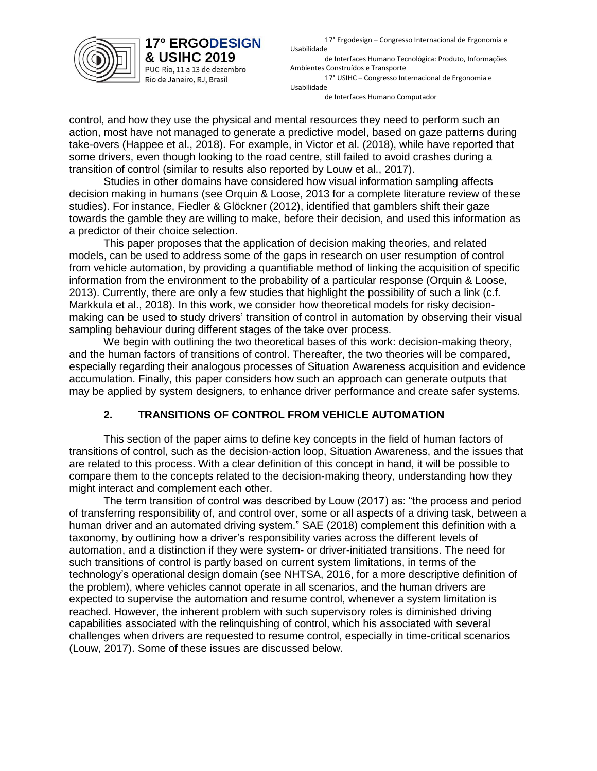

PUC-Rio, 11 a 13 de dezembro Rio de Janeiro, RJ, Brasil

17° Ergodesign – Congresso Internacional de Ergonomia e Usabilidade

de Interfaces Humano Tecnológica: Produto, Informações Ambientes Construídos e Transporte

17° USIHC – Congresso Internacional de Ergonomia e Usabilidade

de Interfaces Humano Computador

control, and how they use the physical and mental resources they need to perform such an action, most have not managed to generate a predictive model, based on gaze patterns during take-overs (Happee et al., 2018). For example, in Victor et al. (2018), while have reported that some drivers, even though looking to the road centre, still failed to avoid crashes during a transition of control (similar to results also reported by Louw et al., 2017).

Studies in other domains have considered how visual information sampling affects decision making in humans (see Orquin & Loose, 2013 for a complete literature review of these studies). For instance, Fiedler & Glöckner (2012), identified that gamblers shift their gaze towards the gamble they are willing to make, before their decision, and used this information as a predictor of their choice selection.

This paper proposes that the application of decision making theories, and related models, can be used to address some of the gaps in research on user resumption of control from vehicle automation, by providing a quantifiable method of linking the acquisition of specific information from the environment to the probability of a particular response (Orquin & Loose, 2013). Currently, there are only a few studies that highlight the possibility of such a link (c.f. Markkula et al., 2018). In this work, we consider how theoretical models for risky decisionmaking can be used to study drivers' transition of control in automation by observing their visual sampling behaviour during different stages of the take over process.

We begin with outlining the two theoretical bases of this work: decision-making theory, and the human factors of transitions of control. Thereafter, the two theories will be compared, especially regarding their analogous processes of Situation Awareness acquisition and evidence accumulation. Finally, this paper considers how such an approach can generate outputs that may be applied by system designers, to enhance driver performance and create safer systems.

### **2. TRANSITIONS OF CONTROL FROM VEHICLE AUTOMATION**

This section of the paper aims to define key concepts in the field of human factors of transitions of control, such as the decision-action loop, Situation Awareness, and the issues that are related to this process. With a clear definition of this concept in hand, it will be possible to compare them to the concepts related to the decision-making theory, understanding how they might interact and complement each other.

The term transition of control was described by Louw (2017) as: "the process and period of transferring responsibility of, and control over, some or all aspects of a driving task, between a human driver and an automated driving system." SAE (2018) complement this definition with a taxonomy, by outlining how a driver's responsibility varies across the different levels of automation, and a distinction if they were system- or driver-initiated transitions. The need for such transitions of control is partly based on current system limitations, in terms of the technology's operational design domain (see NHTSA, 2016, for a more descriptive definition of the problem), where vehicles cannot operate in all scenarios, and the human drivers are expected to supervise the automation and resume control, whenever a system limitation is reached. However, the inherent problem with such supervisory roles is diminished driving capabilities associated with the relinquishing of control, which his associated with several challenges when drivers are requested to resume control, especially in time-critical scenarios (Louw, 2017). Some of these issues are discussed below.

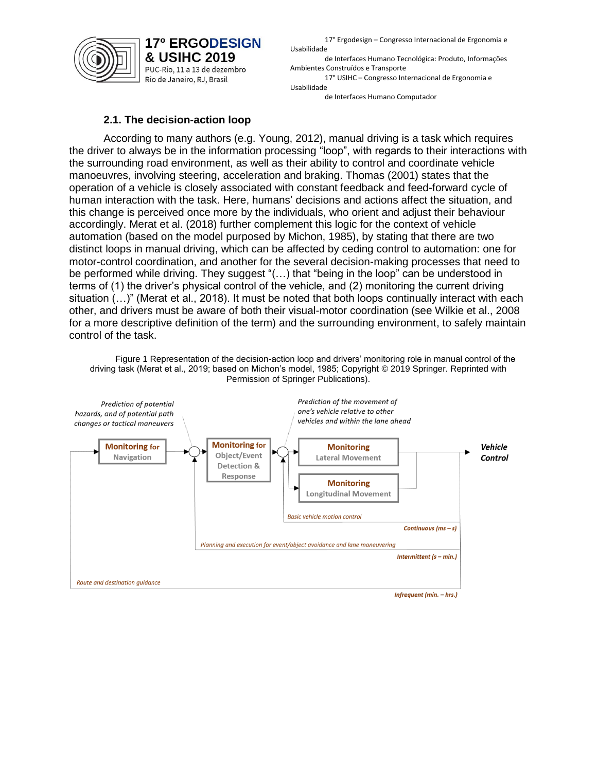

17° Ergodesign – Congresso Internacional de Ergonomia e Usabilidade

de Interfaces Humano Tecnológica: Produto, Informações Ambientes Construídos e Transporte

17° USIHC – Congresso Internacional de Ergonomia e Usabilidade

de Interfaces Humano Computador

#### **2.1. The decision-action loop**

According to many authors (e.g. Young, 2012), manual driving is a task which requires the driver to always be in the information processing "loop", with regards to their interactions with the surrounding road environment, as well as their ability to control and coordinate vehicle manoeuvres, involving steering, acceleration and braking. Thomas (2001) states that the operation of a vehicle is closely associated with constant feedback and feed-forward cycle of human interaction with the task. Here, humans' decisions and actions affect the situation, and this change is perceived once more by the individuals, who orient and adjust their behaviour accordingly. Merat et al. (2018) further complement this logic for the context of vehicle automation (based on the model purposed by Michon, 1985), by stating that there are two distinct loops in manual driving, which can be affected by ceding control to automation: one for motor-control coordination, and another for the several decision-making processes that need to be performed while driving. They suggest "(…) that "being in the loop" can be understood in terms of (1) the driver's physical control of the vehicle, and (2) monitoring the current driving situation (…)" (Merat et al., 2018). It must be noted that both loops continually interact with each other, and drivers must be aware of both their visual-motor coordination (see Wilkie et al., 2008 for a more descriptive definition of the term) and the surrounding environment, to safely maintain control of the task.

Figure 1 Representation of the decision-action loop and drivers' monitoring role in manual control of the driving task (Merat et al., 2019; based on Michon's model, 1985; Copyright © 2019 Springer. Reprinted with Permission of Springer Publications).

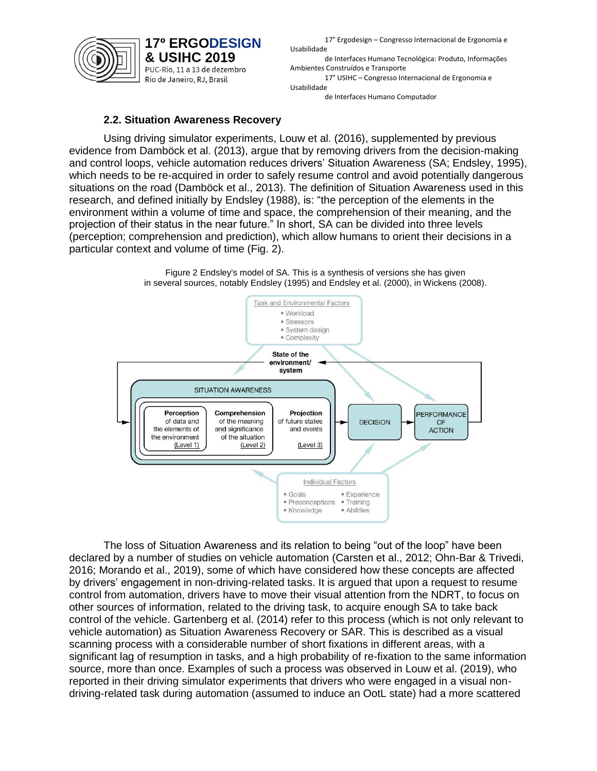

17° Ergodesign – Congresso Internacional de Ergonomia e Usabilidade

de Interfaces Humano Tecnológica: Produto, Informações Ambientes Construídos e Transporte

17° USIHC – Congresso Internacional de Ergonomia e Usabilidade

de Interfaces Humano Computador

#### **2.2. Situation Awareness Recovery**

Using driving simulator experiments, Louw et al. (2016), supplemented by previous evidence from Damböck et al. (2013), argue that by removing drivers from the decision-making and control loops, vehicle automation reduces drivers' Situation Awareness (SA; Endsley, 1995), which needs to be re-acquired in order to safely resume control and avoid potentially dangerous situations on the road (Damböck et al., 2013). The definition of Situation Awareness used in this research, and defined initially by Endsley (1988), is: "the perception of the elements in the environment within a volume of time and space, the comprehension of their meaning, and the projection of their status in the near future." In short, SA can be divided into three levels (perception; comprehension and prediction), which allow humans to orient their decisions in a particular context and volume of time (Fig. 2).





The loss of Situation Awareness and its relation to being "out of the loop" have been declared by a number of studies on vehicle automation (Carsten et al., 2012; Ohn-Bar & Trivedi, 2016; Morando et al., 2019), some of which have considered how these concepts are affected by drivers' engagement in non-driving-related tasks. It is argued that upon a request to resume control from automation, drivers have to move their visual attention from the NDRT, to focus on other sources of information, related to the driving task, to acquire enough SA to take back control of the vehicle. Gartenberg et al. (2014) refer to this process (which is not only relevant to vehicle automation) as Situation Awareness Recovery or SAR. This is described as a visual scanning process with a considerable number of short fixations in different areas, with a significant lag of resumption in tasks, and a high probability of re-fixation to the same information source, more than once. Examples of such a process was observed in Louw et al. (2019), who reported in their driving simulator experiments that drivers who were engaged in a visual nondriving-related task during automation (assumed to induce an OotL state) had a more scattered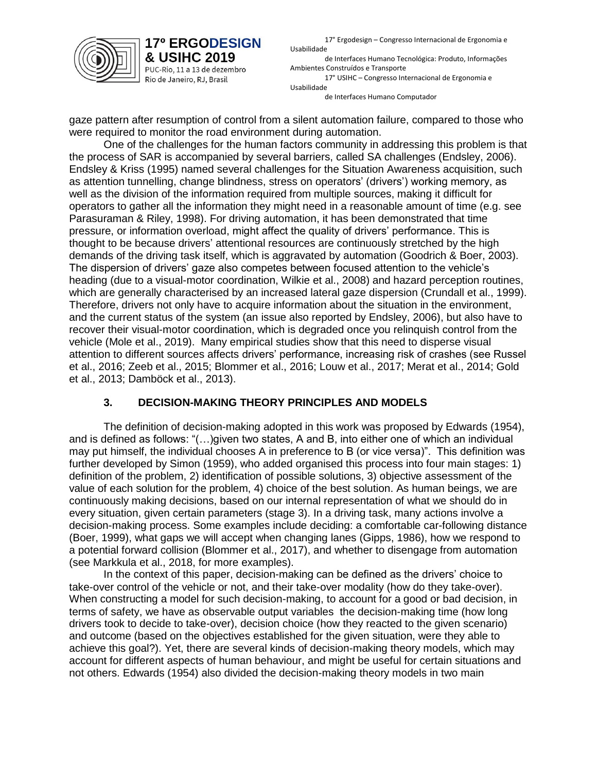

**17° ERGODESIGN** 

& USIHC 2019 PUC-Rio, 11 a 13 de dezembro Rio de Janeiro, RJ, Brasil

17° Ergodesign – Congresso Internacional de Ergonomia e Usabilidade

de Interfaces Humano Tecnológica: Produto, Informações Ambientes Construídos e Transporte 17° USIHC – Congresso Internacional de Ergonomia e Usabilidade

de Interfaces Humano Computador

gaze pattern after resumption of control from a silent automation failure, compared to those who were required to monitor the road environment during automation.

One of the challenges for the human factors community in addressing this problem is that the process of SAR is accompanied by several barriers, called SA challenges (Endsley, 2006). Endsley & Kriss (1995) named several challenges for the Situation Awareness acquisition, such as attention tunnelling, change blindness, stress on operators' (drivers') working memory, as well as the division of the information required from multiple sources, making it difficult for operators to gather all the information they might need in a reasonable amount of time (e.g. see Parasuraman & Riley, 1998). For driving automation, it has been demonstrated that time pressure, or information overload, might affect the quality of drivers' performance. This is thought to be because drivers' attentional resources are continuously stretched by the high demands of the driving task itself, which is aggravated by automation (Goodrich & Boer, 2003). The dispersion of drivers' gaze also competes between focused attention to the vehicle's heading (due to a visual-motor coordination, Wilkie et al., 2008) and hazard perception routines, which are generally characterised by an increased lateral gaze dispersion (Crundall et al., 1999). Therefore, drivers not only have to acquire information about the situation in the environment, and the current status of the system (an issue also reported by Endsley, 2006), but also have to recover their visual-motor coordination, which is degraded once you relinquish control from the vehicle (Mole et al., 2019). Many empirical studies show that this need to disperse visual attention to different sources affects drivers' performance, increasing risk of crashes (see Russel et al., 2016; Zeeb et al., 2015; Blommer et al., 2016; Louw et al., 2017; Merat et al., 2014; Gold et al., 2013; Damböck et al., 2013).

### **3. DECISION-MAKING THEORY PRINCIPLES AND MODELS**

The definition of decision-making adopted in this work was proposed by Edwards (1954), and is defined as follows: "(…)given two states, A and B, into either one of which an individual may put himself, the individual chooses A in preference to B (or vice versa)". This definition was further developed by Simon (1959), who added organised this process into four main stages: 1) definition of the problem, 2) identification of possible solutions, 3) objective assessment of the value of each solution for the problem, 4) choice of the best solution. As human beings, we are continuously making decisions, based on our internal representation of what we should do in every situation, given certain parameters (stage 3). In a driving task, many actions involve a decision-making process. Some examples include deciding: a comfortable car-following distance (Boer, 1999), what gaps we will accept when changing lanes (Gipps, 1986), how we respond to a potential forward collision (Blommer et al., 2017), and whether to disengage from automation (see Markkula et al., 2018, for more examples).

In the context of this paper, decision-making can be defined as the drivers' choice to take-over control of the vehicle or not, and their take-over modality (how do they take-over). When constructing a model for such decision-making, to account for a good or bad decision, in terms of safety, we have as observable output variables the decision-making time (how long drivers took to decide to take-over), decision choice (how they reacted to the given scenario) and outcome (based on the objectives established for the given situation, were they able to achieve this goal?). Yet, there are several kinds of decision-making theory models, which may account for different aspects of human behaviour, and might be useful for certain situations and not others. Edwards (1954) also divided the decision-making theory models in two main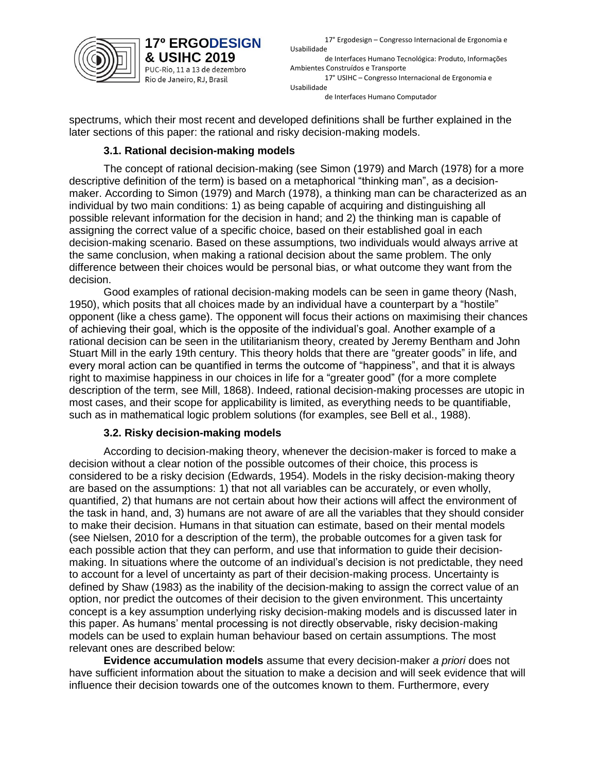

PUC-Rio, 11 a 13 de dezembro Rio de Janeiro, RJ, Brasil

17° Ergodesign – Congresso Internacional de Ergonomia e Usabilidade

de Interfaces Humano Tecnológica: Produto, Informações Ambientes Construídos e Transporte 17° USIHC – Congresso Internacional de Ergonomia e Usabilidade

de Interfaces Humano Computador

spectrums, which their most recent and developed definitions shall be further explained in the later sections of this paper: the rational and risky decision-making models.

## **3.1. Rational decision-making models**

The concept of rational decision-making (see Simon (1979) and March (1978) for a more descriptive definition of the term) is based on a metaphorical "thinking man", as a decisionmaker. According to Simon (1979) and March (1978), a thinking man can be characterized as an individual by two main conditions: 1) as being capable of acquiring and distinguishing all possible relevant information for the decision in hand; and 2) the thinking man is capable of assigning the correct value of a specific choice, based on their established goal in each decision-making scenario. Based on these assumptions, two individuals would always arrive at the same conclusion, when making a rational decision about the same problem. The only difference between their choices would be personal bias, or what outcome they want from the decision.

Good examples of rational decision-making models can be seen in game theory (Nash, 1950), which posits that all choices made by an individual have a counterpart by a "hostile" opponent (like a chess game). The opponent will focus their actions on maximising their chances of achieving their goal, which is the opposite of the individual's goal. Another example of a rational decision can be seen in the utilitarianism theory, created by [Jeremy Bentham](http://www.britannica.com/eb/article?idxref=561296) and [John](http://www.britannica.com/eb/article?idxref=561297)  [Stuart Mill](http://www.britannica.com/eb/article?idxref=561297) in the early 19th century. This theory holds that there are "greater goods" in life, and every moral action can be quantified in terms the outcome of "happiness", and that it is always right to maximise happiness in our choices in life for a "greater good" (for a more complete description of the term, see Mill, 1868). Indeed, rational decision-making processes are utopic in most cases, and their scope for applicability is limited, as everything needs to be quantifiable, such as in mathematical logic problem solutions (for examples, see Bell et al., 1988).

### **3.2. Risky decision-making models**

According to decision-making theory, whenever the decision-maker is forced to make a decision without a clear notion of the possible outcomes of their choice, this process is considered to be a risky decision (Edwards, 1954). Models in the risky decision-making theory are based on the assumptions: 1) that not all variables can be accurately, or even wholly, quantified, 2) that humans are not certain about how their actions will affect the environment of the task in hand, and, 3) humans are not aware of are all the variables that they should consider to make their decision. Humans in that situation can estimate, based on their mental models (see Nielsen, 2010 for a description of the term), the probable outcomes for a given task for each possible action that they can perform, and use that information to guide their decisionmaking. In situations where the outcome of an individual's decision is not predictable, they need to account for a level of uncertainty as part of their decision-making process. Uncertainty is defined by Shaw (1983) as the inability of the decision-making to assign the correct value of an option, nor predict the outcomes of their decision to the given environment. This uncertainty concept is a key assumption underlying risky decision-making models and is discussed later in this paper. As humans' mental processing is not directly observable, risky decision-making models can be used to explain human behaviour based on certain assumptions. The most relevant ones are described below:

**Evidence accumulation models** assume that every decision-maker *a priori* does not have sufficient information about the situation to make a decision and will seek evidence that will influence their decision towards one of the outcomes known to them. Furthermore, every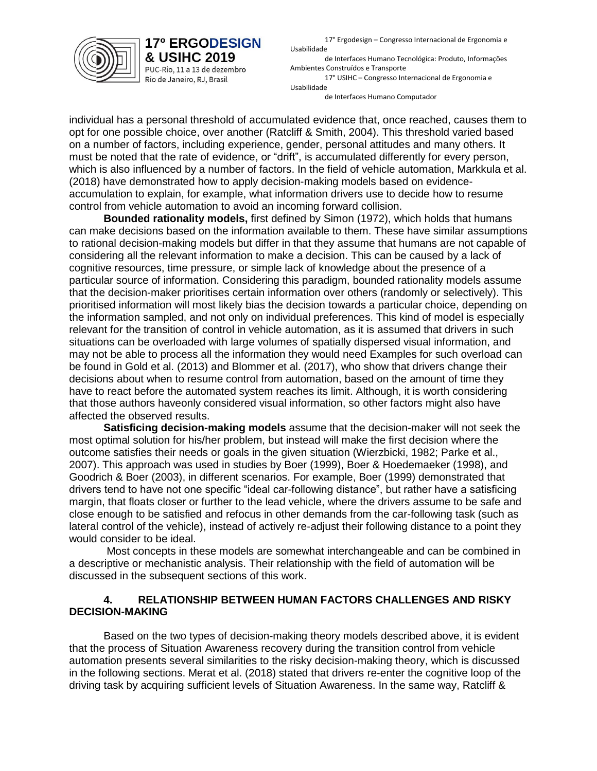

PUC-Rio, 11 a 13 de dezembro Rio de Janeiro, RJ, Brasil

17° Ergodesign – Congresso Internacional de Ergonomia e Usabilidade

de Interfaces Humano Tecnológica: Produto, Informações Ambientes Construídos e Transporte 17° USIHC – Congresso Internacional de Ergonomia e Usabilidade

de Interfaces Humano Computador

individual has a personal threshold of accumulated evidence that, once reached, causes them to opt for one possible choice, over another (Ratcliff & Smith, 2004). This threshold varied based on a number of factors, including experience, gender, personal attitudes and many others. It must be noted that the rate of evidence, or "drift", is accumulated differently for every person, which is also influenced by a number of factors. In the field of vehicle automation, Markkula et al. (2018) have demonstrated how to apply decision-making models based on evidenceaccumulation to explain, for example, what information drivers use to decide how to resume control from vehicle automation to avoid an incoming forward collision.

**Bounded rationality models,** first defined by Simon (1972), which holds that humans can make decisions based on the information available to them. These have similar assumptions to rational decision-making models but differ in that they assume that humans are not capable of considering all the relevant information to make a decision. This can be caused by a lack of cognitive resources, time pressure, or simple lack of knowledge about the presence of a particular source of information. Considering this paradigm, bounded rationality models assume that the decision-maker prioritises certain information over others (randomly or selectively). This prioritised information will most likely bias the decision towards a particular choice, depending on the information sampled, and not only on individual preferences. This kind of model is especially relevant for the transition of control in vehicle automation, as it is assumed that drivers in such situations can be overloaded with large volumes of spatially dispersed visual information, and may not be able to process all the information they would need Examples for such overload can be found in Gold et al. (2013) and Blommer et al. (2017), who show that drivers change their decisions about when to resume control from automation, based on the amount of time they have to react before the automated system reaches its limit. Although, it is worth considering that those authors haveonly considered visual information, so other factors might also have affected the observed results.

**Satisficing decision-making models** assume that the decision-maker will not seek the most optimal solution for his/her problem, but instead will make the first decision where the outcome satisfies their needs or goals in the given situation (Wierzbicki, 1982; Parke et al., 2007). This approach was used in studies by Boer (1999), Boer & Hoedemaeker (1998), and Goodrich & Boer (2003), in different scenarios. For example, Boer (1999) demonstrated that drivers tend to have not one specific "ideal car-following distance", but rather have a satisficing margin, that floats closer or further to the lead vehicle, where the drivers assume to be safe and close enough to be satisfied and refocus in other demands from the car-following task (such as lateral control of the vehicle), instead of actively re-adjust their following distance to a point they would consider to be ideal.

Most concepts in these models are somewhat interchangeable and can be combined in a descriptive or mechanistic analysis. Their relationship with the field of automation will be discussed in the subsequent sections of this work.

#### **4. RELATIONSHIP BETWEEN HUMAN FACTORS CHALLENGES AND RISKY DECISION-MAKING**

Based on the two types of decision-making theory models described above, it is evident that the process of Situation Awareness recovery during the transition control from vehicle automation presents several similarities to the risky decision-making theory, which is discussed in the following sections. Merat et al. (2018) stated that drivers re-enter the cognitive loop of the driving task by acquiring sufficient levels of Situation Awareness. In the same way, Ratcliff &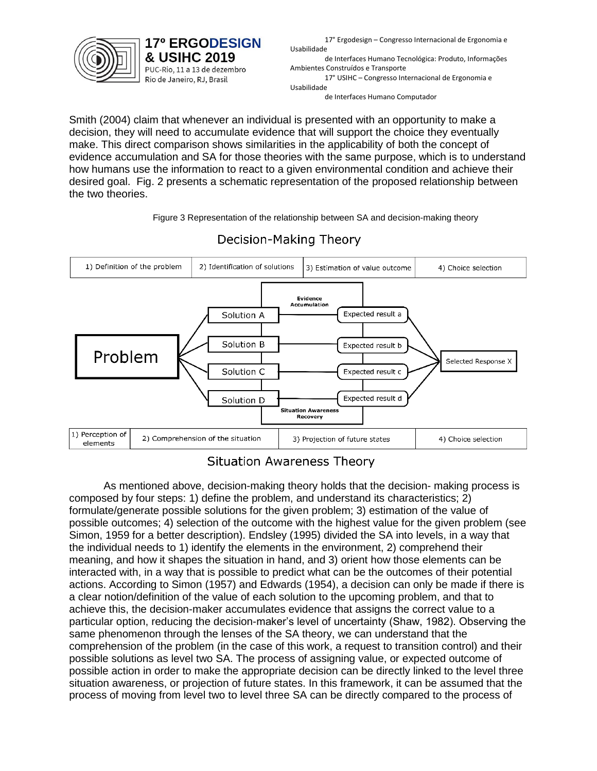

**17° ERGODESIGN** & USIHC 2019 PUC-Rio, 11 a 13 de dezembro Rio de Janeiro, RJ, Brasil

17° Ergodesign – Congresso Internacional de Ergonomia e Usabilidade

de Interfaces Humano Tecnológica: Produto, Informações Ambientes Construídos e Transporte 17° USIHC – Congresso Internacional de Ergonomia e Usabilidade

de Interfaces Humano Computador

Smith (2004) claim that whenever an individual is presented with an opportunity to make a decision, they will need to accumulate evidence that will support the choice they eventually make. This direct comparison shows similarities in the applicability of both the concept of evidence accumulation and SA for those theories with the same purpose, which is to understand how humans use the information to react to a given environmental condition and achieve their desired goal. Fig. 2 presents a schematic representation of the proposed relationship between the two theories.

Figure 3 Representation of the relationship between SA and decision-making theory



## Decision-Making Theory

**Situation Awareness Theory** 

As mentioned above, decision-making theory holds that the decision- making process is composed by four steps: 1) define the problem, and understand its characteristics; 2) formulate/generate possible solutions for the given problem; 3) estimation of the value of possible outcomes; 4) selection of the outcome with the highest value for the given problem (see Simon, 1959 for a better description). Endsley (1995) divided the SA into levels, in a way that the individual needs to 1) identify the elements in the environment, 2) comprehend their meaning, and how it shapes the situation in hand, and 3) orient how those elements can be interacted with, in a way that is possible to predict what can be the outcomes of their potential actions. According to Simon (1957) and Edwards (1954), a decision can only be made if there is a clear notion/definition of the value of each solution to the upcoming problem, and that to achieve this, the decision-maker accumulates evidence that assigns the correct value to a particular option, reducing the decision-maker's level of uncertainty (Shaw, 1982). Observing the same phenomenon through the lenses of the SA theory, we can understand that the comprehension of the problem (in the case of this work, a request to transition control) and their possible solutions as level two SA. The process of assigning value, or expected outcome of possible action in order to make the appropriate decision can be directly linked to the level three situation awareness, or projection of future states. In this framework, it can be assumed that the process of moving from level two to level three SA can be directly compared to the process of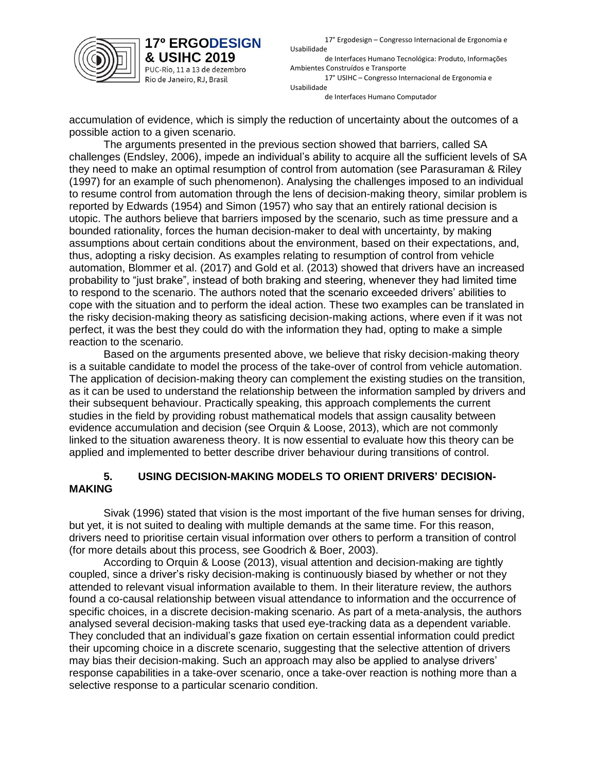

**17° ERGODESIGN** 

& USIHC 2019 PUC-Rio, 11 a 13 de dezembro Rio de Janeiro, RJ, Brasil

17° Ergodesign – Congresso Internacional de Ergonomia e Usabilidade

de Interfaces Humano Tecnológica: Produto, Informações Ambientes Construídos e Transporte 17° USIHC – Congresso Internacional de Ergonomia e

Usabilidade de Interfaces Humano Computador

accumulation of evidence, which is simply the reduction of uncertainty about the outcomes of a possible action to a given scenario.

The arguments presented in the previous section showed that barriers, called SA challenges (Endsley, 2006), impede an individual's ability to acquire all the sufficient levels of SA they need to make an optimal resumption of control from automation (see Parasuraman & Riley (1997) for an example of such phenomenon). Analysing the challenges imposed to an individual to resume control from automation through the lens of decision-making theory, similar problem is reported by Edwards (1954) and Simon (1957) who say that an entirely rational decision is utopic. The authors believe that barriers imposed by the scenario, such as time pressure and a bounded rationality, forces the human decision-maker to deal with uncertainty, by making assumptions about certain conditions about the environment, based on their expectations, and, thus, adopting a risky decision. As examples relating to resumption of control from vehicle automation, Blommer et al. (2017) and Gold et al. (2013) showed that drivers have an increased probability to "just brake", instead of both braking and steering, whenever they had limited time to respond to the scenario. The authors noted that the scenario exceeded drivers' abilities to cope with the situation and to perform the ideal action. These two examples can be translated in the risky decision-making theory as satisficing decision-making actions, where even if it was not perfect, it was the best they could do with the information they had, opting to make a simple reaction to the scenario.

Based on the arguments presented above, we believe that risky decision-making theory is a suitable candidate to model the process of the take-over of control from vehicle automation. The application of decision-making theory can complement the existing studies on the transition, as it can be used to understand the relationship between the information sampled by drivers and their subsequent behaviour. Practically speaking, this approach complements the current studies in the field by providing robust mathematical models that assign causality between evidence accumulation and decision (see Orquin & Loose, 2013), which are not commonly linked to the situation awareness theory. It is now essential to evaluate how this theory can be applied and implemented to better describe driver behaviour during transitions of control.

#### **5. USING DECISION-MAKING MODELS TO ORIENT DRIVERS' DECISION-MAKING**

Sivak (1996) stated that vision is the most important of the five human senses for driving, but yet, it is not suited to dealing with multiple demands at the same time. For this reason, drivers need to prioritise certain visual information over others to perform a transition of control (for more details about this process, see Goodrich & Boer, 2003).

According to Orquin & Loose (2013), visual attention and decision-making are tightly coupled, since a driver's risky decision-making is continuously biased by whether or not they attended to relevant visual information available to them. In their literature review, the authors found a co-causal relationship between visual attendance to information and the occurrence of specific choices, in a discrete decision-making scenario. As part of a meta-analysis, the authors analysed several decision-making tasks that used eye-tracking data as a dependent variable. They concluded that an individual's gaze fixation on certain essential information could predict their upcoming choice in a discrete scenario, suggesting that the selective attention of drivers may bias their decision-making. Such an approach may also be applied to analyse drivers' response capabilities in a take-over scenario, once a take-over reaction is nothing more than a selective response to a particular scenario condition.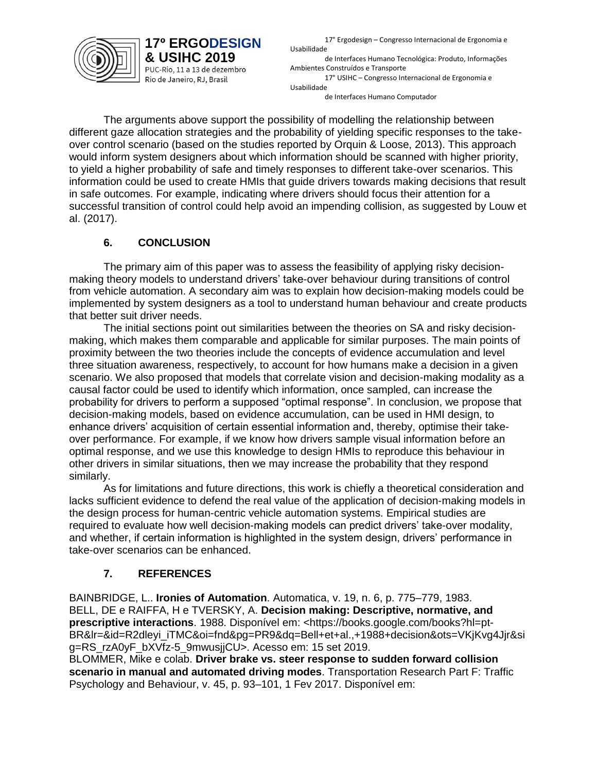

17° Ergodesign – Congresso Internacional de Ergonomia e Usabilidade

de Interfaces Humano Tecnológica: Produto, Informações Ambientes Construídos e Transporte 17° USIHC – Congresso Internacional de Ergonomia e Usabilidade

de Interfaces Humano Computador

The arguments above support the possibility of modelling the relationship between different gaze allocation strategies and the probability of yielding specific responses to the takeover control scenario (based on the studies reported by Orquin & Loose, 2013). This approach would inform system designers about which information should be scanned with higher priority, to yield a higher probability of safe and timely responses to different take-over scenarios. This information could be used to create HMIs that guide drivers towards making decisions that result in safe outcomes. For example, indicating where drivers should focus their attention for a successful transition of control could help avoid an impending collision, as suggested by Louw et al. (2017).

#### **6. CONCLUSION**

**17° ERGODESIGN** & USIHC 2019 PUC-Rio, 11 a 13 de dezembro Rio de Janeiro, RJ, Brasil

The primary aim of this paper was to assess the feasibility of applying risky decisionmaking theory models to understand drivers' take-over behaviour during transitions of control from vehicle automation. A secondary aim was to explain how decision-making models could be implemented by system designers as a tool to understand human behaviour and create products that better suit driver needs.

The initial sections point out similarities between the theories on SA and risky decisionmaking, which makes them comparable and applicable for similar purposes. The main points of proximity between the two theories include the concepts of evidence accumulation and level three situation awareness, respectively, to account for how humans make a decision in a given scenario. We also proposed that models that correlate vision and decision-making modality as a causal factor could be used to identify which information, once sampled, can increase the probability for drivers to perform a supposed "optimal response". In conclusion, we propose that decision-making models, based on evidence accumulation, can be used in HMI design, to enhance drivers' acquisition of certain essential information and, thereby, optimise their takeover performance. For example, if we know how drivers sample visual information before an optimal response, and we use this knowledge to design HMIs to reproduce this behaviour in other drivers in similar situations, then we may increase the probability that they respond similarly.

As for limitations and future directions, this work is chiefly a theoretical consideration and lacks sufficient evidence to defend the real value of the application of decision-making models in the design process for human-centric vehicle automation systems. Empirical studies are required to evaluate how well decision-making models can predict drivers' take-over modality, and whether, if certain information is highlighted in the system design, drivers' performance in take-over scenarios can be enhanced.

### **7. REFERENCES**

BAINBRIDGE, L.. **Ironies of Automation**. Automatica, v. 19, n. 6, p. 775–779, 1983. BELL, DE e RAIFFA, H e TVERSKY, A. **Decision making: Descriptive, normative, and prescriptive interactions**. 1988. Disponível em: <https://books.google.com/books?hl=pt-BR&lr=&id=R2dleyi\_iTMC&oi=fnd&pg=PR9&dq=Bell+et+al.,+1988+decision&ots=VKjKvg4Jjr&si g=RS\_rzA0yF\_bXVfz-5\_9mwusjjCU>. Acesso em: 15 set 2019.

BLOMMER, Mike e colab. **Driver brake vs. steer response to sudden forward collision scenario in manual and automated driving modes**. Transportation Research Part F: Traffic Psychology and Behaviour, v. 45, p. 93–101, 1 Fev 2017. Disponível em: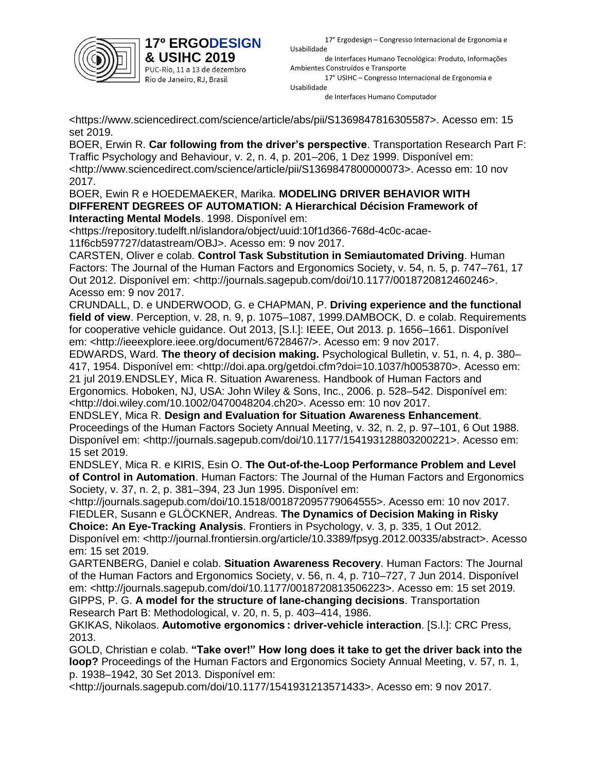

PUC-Rio, 11 a 13 de dezembro Rio de Janeiro, RJ, Brasil

17° Ergodesign – Congresso Internacional de Ergonomia e Usabilidade

de Interfaces Humano Tecnológica: Produto, Informações Ambientes Construídos e Transporte

17° USIHC – Congresso Internacional de Ergonomia e Usabilidade de Interfaces Humano Computador

<https://www.sciencedirect.com/science/article/abs/pii/S1369847816305587>. Acesso em: 15 set 2019.

BOER, Erwin R. **Car following from the driver's perspective**. Transportation Research Part F: Traffic Psychology and Behaviour, v. 2, n. 4, p. 201–206, 1 Dez 1999. Disponível em: <http://www.sciencedirect.com/science/article/pii/S1369847800000073>. Acesso em: 10 nov 2017.

BOER, Ewin R e HOEDEMAEKER, Marika. **MODELING DRIVER BEHAVIOR WITH DIFFERENT DEGREES OF AUTOMATION: A Hierarchical Décision Framework of Interacting Mental Models**. 1998. Disponível em:

<https://repository.tudelft.nl/islandora/object/uuid:10f1d366-768d-4c0c-acae-11f6cb597727/datastream/OBJ>. Acesso em: 9 nov 2017.

CARSTEN, Oliver e colab. **Control Task Substitution in Semiautomated Driving**. Human Factors: The Journal of the Human Factors and Ergonomics Society, v. 54, n. 5, p. 747–761, 17 Out 2012. Disponível em: <http://journals.sagepub.com/doi/10.1177/0018720812460246>. Acesso em: 9 nov 2017.

CRUNDALL, D. e UNDERWOOD, G. e CHAPMAN, P. **Driving experience and the functional field of view**. Perception, v. 28, n. 9, p. 1075–1087, 1999.DAMBOCK, D. e colab. Requirements for cooperative vehicle guidance. Out 2013, [S.l.]: IEEE, Out 2013. p. 1656–1661. Disponível em: <http://ieeexplore.ieee.org/document/6728467/>. Acesso em: 9 nov 2017.

EDWARDS, Ward. **The theory of decision making.** Psychological Bulletin, v. 51, n. 4, p. 380– 417, 1954. Disponível em: <http://doi.apa.org/getdoi.cfm?doi=10.1037/h0053870>. Acesso em: 21 jul 2019.ENDSLEY, Mica R. Situation Awareness. Handbook of Human Factors and Ergonomics. Hoboken, NJ, USA: John Wiley & Sons, Inc., 2006. p. 528–542. Disponível em: <http://doi.wiley.com/10.1002/0470048204.ch20>. Acesso em: 10 nov 2017.

ENDSLEY, Mica R. **Design and Evaluation for Situation Awareness Enhancement**. Proceedings of the Human Factors Society Annual Meeting, v. 32, n. 2, p. 97–101, 6 Out 1988. Disponível em: <http://journals.sagepub.com/doi/10.1177/154193128803200221>. Acesso em: 15 set 2019.

ENDSLEY, Mica R. e KIRIS, Esin O. **The Out-of-the-Loop Performance Problem and Level of Control in Automation**. Human Factors: The Journal of the Human Factors and Ergonomics Society, v. 37, n. 2, p. 381–394, 23 Jun 1995. Disponível em:

<http://journals.sagepub.com/doi/10.1518/001872095779064555>. Acesso em: 10 nov 2017. FIEDLER, Susann e GLÖCKNER, Andreas. **The Dynamics of Decision Making in Risky** 

**Choice: An Eye-Tracking Analysis**. Frontiers in Psychology, v. 3, p. 335, 1 Out 2012. Disponível em: <http://journal.frontiersin.org/article/10.3389/fpsyg.2012.00335/abstract>. Acesso em: 15 set 2019.

GARTENBERG, Daniel e colab. **Situation Awareness Recovery**. Human Factors: The Journal of the Human Factors and Ergonomics Society, v. 56, n. 4, p. 710–727, 7 Jun 2014. Disponível em: <http://journals.sagepub.com/doi/10.1177/0018720813506223>. Acesso em: 15 set 2019. GIPPS, P. G. **A model for the structure of lane-changing decisions**. Transportation

Research Part B: Methodological, v. 20, n. 5, p. 403–414, 1986.

GKIKAS, Nikolaos. **Automotive ergonomics : driver-vehicle interaction**. [S.l.]: CRC Press, 2013.

GOLD, Christian e colab. **"Take over!" How long does it take to get the driver back into the loop?** Proceedings of the Human Factors and Ergonomics Society Annual Meeting, v. 57, n. 1, p. 1938–1942, 30 Set 2013. Disponível em:

<http://journals.sagepub.com/doi/10.1177/1541931213571433>. Acesso em: 9 nov 2017.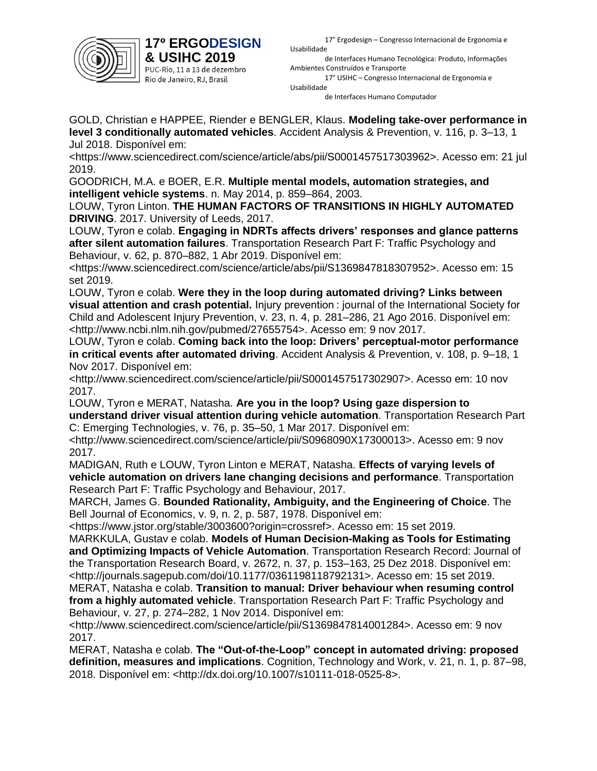

PUC-Rio, 11 a 13 de dezembro Rio de Janeiro, RJ, Brasil

17° Ergodesign – Congresso Internacional de Ergonomia e Usabilidade

de Interfaces Humano Tecnológica: Produto, Informações Ambientes Construídos e Transporte

17° USIHC – Congresso Internacional de Ergonomia e Usabilidade

de Interfaces Humano Computador

GOLD, Christian e HAPPEE, Riender e BENGLER, Klaus. **Modeling take-over performance in level 3 conditionally automated vehicles**. Accident Analysis & Prevention, v. 116, p. 3–13, 1 Jul 2018. Disponível em:

<https://www.sciencedirect.com/science/article/abs/pii/S0001457517303962>. Acesso em: 21 jul 2019.

GOODRICH, M.A. e BOER, E.R. **Multiple mental models, automation strategies, and intelligent vehicle systems**. n. May 2014, p. 859–864, 2003.

LOUW, Tyron Linton. **THE HUMAN FACTORS OF TRANSITIONS IN HIGHLY AUTOMATED DRIVING**. 2017. University of Leeds, 2017.

LOUW, Tyron e colab. **Engaging in NDRTs affects drivers' responses and glance patterns after silent automation failures**. Transportation Research Part F: Traffic Psychology and Behaviour, v. 62, p. 870–882, 1 Abr 2019. Disponível em:

<https://www.sciencedirect.com/science/article/abs/pii/S1369847818307952>. Acesso em: 15 set 2019.

LOUW, Tyron e colab. **Were they in the loop during automated driving? Links between visual attention and crash potential.** Injury prevention : journal of the International Society for Child and Adolescent Injury Prevention, v. 23, n. 4, p. 281–286, 21 Ago 2016. Disponível em: <http://www.ncbi.nlm.nih.gov/pubmed/27655754>. Acesso em: 9 nov 2017.

LOUW, Tyron e colab. **Coming back into the loop: Drivers' perceptual-motor performance in critical events after automated driving**. Accident Analysis & Prevention, v. 108, p. 9–18, 1 Nov 2017. Disponível em:

<http://www.sciencedirect.com/science/article/pii/S0001457517302907>. Acesso em: 10 nov 2017.

LOUW, Tyron e MERAT, Natasha. **Are you in the loop? Using gaze dispersion to understand driver visual attention during vehicle automation**. Transportation Research Part C: Emerging Technologies, v. 76, p. 35–50, 1 Mar 2017. Disponível em:

<http://www.sciencedirect.com/science/article/pii/S0968090X17300013>. Acesso em: 9 nov 2017.

MADIGAN, Ruth e LOUW, Tyron Linton e MERAT, Natasha. **Effects of varying levels of vehicle automation on drivers lane changing decisions and performance**. Transportation Research Part F: Traffic Psychology and Behaviour, 2017.

MARCH, James G. **Bounded Rationality, Ambiguity, and the Engineering of Choice**. The Bell Journal of Economics, v. 9, n. 2, p. 587, 1978. Disponível em:

<https://www.jstor.org/stable/3003600?origin=crossref>. Acesso em: 15 set 2019.

MARKKULA, Gustav e colab. **Models of Human Decision-Making as Tools for Estimating and Optimizing Impacts of Vehicle Automation**. Transportation Research Record: Journal of the Transportation Research Board, v. 2672, n. 37, p. 153–163, 25 Dez 2018. Disponível em: <http://journals.sagepub.com/doi/10.1177/0361198118792131>. Acesso em: 15 set 2019. MERAT, Natasha e colab. **Transition to manual: Driver behaviour when resuming control** 

**from a highly automated vehicle**. Transportation Research Part F: Traffic Psychology and Behaviour, v. 27, p. 274–282, 1 Nov 2014. Disponível em:

<http://www.sciencedirect.com/science/article/pii/S1369847814001284>. Acesso em: 9 nov 2017.

MERAT, Natasha e colab. **The "Out-of-the-Loop" concept in automated driving: proposed definition, measures and implications**. Cognition, Technology and Work, v. 21, n. 1, p. 87–98, 2018. Disponível em: <http://dx.doi.org/10.1007/s10111-018-0525-8>.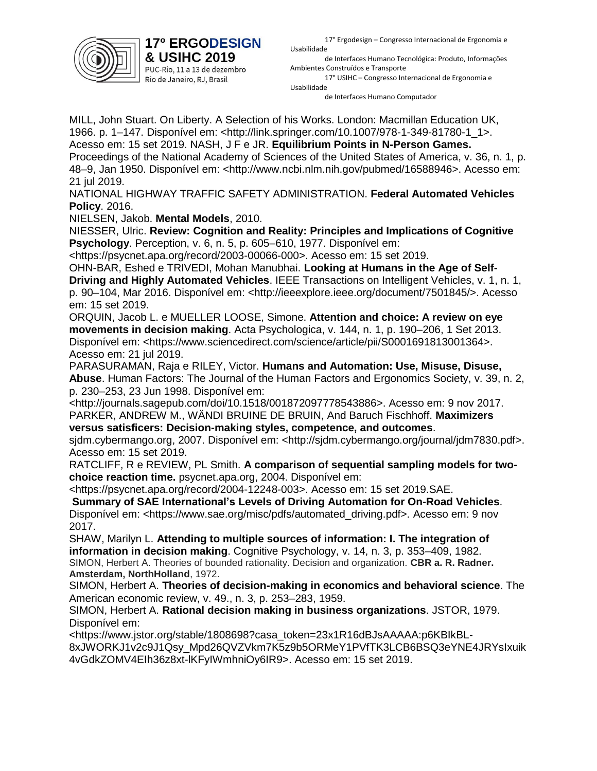

PUC-Rio, 11 a 13 de dezembro Rio de Janeiro, RJ, Brasil

17° Ergodesign – Congresso Internacional de Ergonomia e Usabilidade

de Interfaces Humano Tecnológica: Produto, Informações Ambientes Construídos e Transporte

17° USIHC – Congresso Internacional de Ergonomia e Usabilidade

de Interfaces Humano Computador

MILL, John Stuart. On Liberty. A Selection of his Works. London: Macmillan Education UK, 1966. p. 1–147. Disponível em: <http://link.springer.com/10.1007/978-1-349-81780-1\_1>. Acesso em: 15 set 2019. NASH, J F e JR. **Equilibrium Points in N-Person Games.** Proceedings of the National Academy of Sciences of the United States of America, v. 36, n. 1, p. 48–9, Jan 1950. Disponível em: <http://www.ncbi.nlm.nih.gov/pubmed/16588946>. Acesso em: 21 jul 2019.

NATIONAL HIGHWAY TRAFFIC SAFETY ADMINISTRATION. **Federal Automated Vehicles Policy**. 2016.

NIELSEN, Jakob. **Mental Models**, 2010.

NIESSER, Ulric. **Review: Cognition and Reality: Principles and Implications of Cognitive Psychology**. Perception, v. 6, n. 5, p. 605–610, 1977. Disponível em:

<https://psycnet.apa.org/record/2003-00066-000>. Acesso em: 15 set 2019.

OHN-BAR, Eshed e TRIVEDI, Mohan Manubhai. **Looking at Humans in the Age of Self-**

**Driving and Highly Automated Vehicles**. IEEE Transactions on Intelligent Vehicles, v. 1, n. 1, p. 90–104, Mar 2016. Disponível em: <http://ieeexplore.ieee.org/document/7501845/>. Acesso em: 15 set 2019.

ORQUIN, Jacob L. e MUELLER LOOSE, Simone. **Attention and choice: A review on eye movements in decision making**. Acta Psychologica, v. 144, n. 1, p. 190–206, 1 Set 2013. Disponível em: <https://www.sciencedirect.com/science/article/pii/S0001691813001364>. Acesso em: 21 jul 2019.

PARASURAMAN, Raja e RILEY, Victor. **Humans and Automation: Use, Misuse, Disuse, Abuse**. Human Factors: The Journal of the Human Factors and Ergonomics Society, v. 39, n. 2, p. 230–253, 23 Jun 1998. Disponível em:

<http://journals.sagepub.com/doi/10.1518/001872097778543886>. Acesso em: 9 nov 2017. PARKER, ANDREW M., WÄNDI BRUINE DE BRUIN, And Baruch Fischhoff. **Maximizers** 

**versus satisficers: Decision-making styles, competence, and outcomes**. sidm.cybermango.org, 2007. Disponível em: <http://sidm.cybermango.org/journal/jdm7830.pdf>. Acesso em: 15 set 2019.

RATCLIFF, R e REVIEW, PL Smith. **A comparison of sequential sampling models for twochoice reaction time.** psycnet.apa.org, 2004. Disponível em:

<https://psycnet.apa.org/record/2004-12248-003>. Acesso em: 15 set 2019.SAE.

**Summary of SAE International's Levels of Driving Automation for On-Road Vehicles**. Disponível em: <https://www.sae.org/misc/pdfs/automated\_driving.pdf>. Acesso em: 9 nov 2017.

SHAW, Marilyn L. **Attending to multiple sources of information: I. The integration of information in decision making**. Cognitive Psychology, v. 14, n. 3, p. 353–409, 1982. SIMON, Herbert A. Theories of bounded rationality. Decision and organization. **CBR a. R. Radner. Amsterdam, NorthHolland**, 1972.

SIMON, Herbert A. **Theories of decision-making in economics and behavioral science**. The American economic review, v. 49., n. 3, p. 253–283, 1959.

SIMON, Herbert A. **Rational decision making in business organizations**. JSTOR, 1979. Disponível em:

<https://www.jstor.org/stable/1808698?casa\_token=23x1R16dBJsAAAAA:p6KBIkBL-8xJWORKJ1v2c9J1Qsy\_Mpd26QVZVkm7K5z9b5ORMeY1PVfTK3LCB6BSQ3eYNE4JRYsIxuik 4vGdkZOMV4EIh36z8xt-lKFyIWmhniOy6IR9>. Acesso em: 15 set 2019.